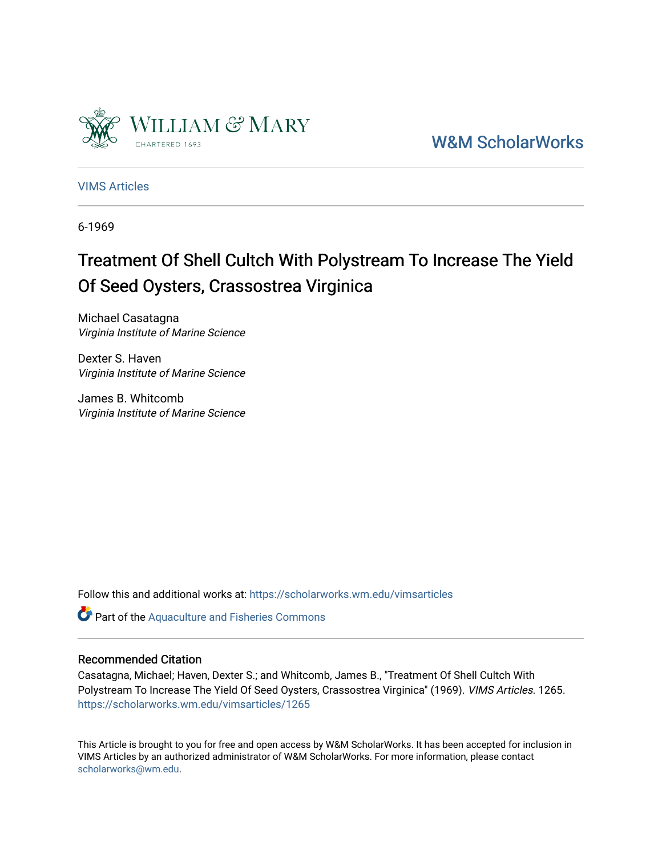

[W&M ScholarWorks](https://scholarworks.wm.edu/) 

[VIMS Articles](https://scholarworks.wm.edu/vimsarticles)

6-1969

# Treatment Of Shell Cultch With Polystream To Increase The Yield Of Seed Oysters, Crassostrea Virginica

Michael Casatagna Virginia Institute of Marine Science

Dexter S. Haven Virginia Institute of Marine Science

James B. Whitcomb Virginia Institute of Marine Science

Follow this and additional works at: [https://scholarworks.wm.edu/vimsarticles](https://scholarworks.wm.edu/vimsarticles?utm_source=scholarworks.wm.edu%2Fvimsarticles%2F1265&utm_medium=PDF&utm_campaign=PDFCoverPages)

Part of the [Aquaculture and Fisheries Commons](http://network.bepress.com/hgg/discipline/78?utm_source=scholarworks.wm.edu%2Fvimsarticles%2F1265&utm_medium=PDF&utm_campaign=PDFCoverPages)

# Recommended Citation

Casatagna, Michael; Haven, Dexter S.; and Whitcomb, James B., "Treatment Of Shell Cultch With Polystream To Increase The Yield Of Seed Oysters, Crassostrea Virginica" (1969). VIMS Articles. 1265. [https://scholarworks.wm.edu/vimsarticles/1265](https://scholarworks.wm.edu/vimsarticles/1265?utm_source=scholarworks.wm.edu%2Fvimsarticles%2F1265&utm_medium=PDF&utm_campaign=PDFCoverPages) 

This Article is brought to you for free and open access by W&M ScholarWorks. It has been accepted for inclusion in VIMS Articles by an authorized administrator of W&M ScholarWorks. For more information, please contact [scholarworks@wm.edu.](mailto:scholarworks@wm.edu)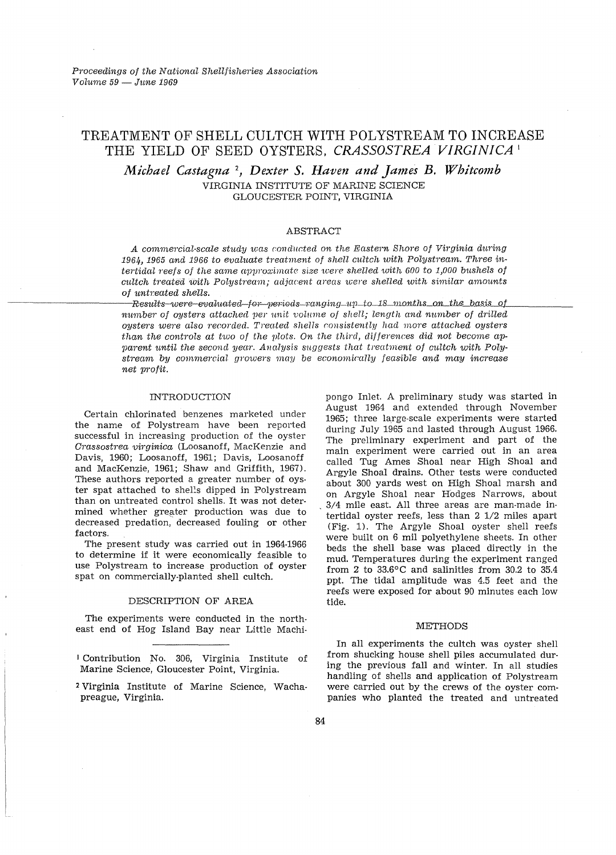# TREATMENT OF SHELL CULTCH WITH POLYSTREAM TO INCREASE THE YIELD OF SEED OYSTERS, CRASSOSTREA VIRGINICA<sup>1</sup>

Michael Castagna<sup>2</sup>, Dexter S. Haven and James B. Whitcomb VIRGINIA INSTITUTE OF MARINE SCIENCE GLOUCESTER POINT, VIRGINIA

#### ABSTRACT

A commercial-scale study was conducted on the Eastern Shore of Virginia during 1964, 1965 and 1966 to evaluate treatment of shell cultch with Polystream. Three intertidal reefs of the same approximate size were shelled with 600 to 1,000 bushels of cultch treated with Polystream; adjacent areas were shelled with similar amounts of untreated shells.

Results-were-evaluated-for-periods-ranging-up-to-18 months on the basis of number of oysters attached per unit volume of shell; length and number of drilled oysters were also recorded. Treated shells consistently had more attached oysters than the controls at two of the plots. On the third, differences did not become apparent until the second year. Analysis suggests that treatment of cultch with Polystream by commercial growers may be economically feasible and may increase net profit.

#### **INTRODUCTION**

Certain chlorinated benzenes marketed under the name of Polystream have been reported successful in increasing production of the oyster Crassostrea virginica (Loosanoff, MacKenzie and Davis, 1960; Loosanoff, 1961; Davis, Loosanoff and MacKenzie, 1961; Shaw and Griffith, 1967). These authors reported a greater number of oyster spat attached to shells dipped in Polystream than on untreated control shells. It was not determined whether greater production was due to decreased predation, decreased fouling or other factors.

The present study was carried out in 1964-1966 to determine if it were economically feasible to use Polystream to increase production of oyster spat on commercially-planted shell cultch.

### DESCRIPTION OF AREA

The experiments were conducted in the northeast end of Hog Island Bay near Little Machi-

Contribution No. 306, Virginia Institute of Marine Science, Gloucester Point, Virginia.

<sup>2</sup> Virginia Institute of Marine Science, Wachapreague, Virginia.

pongo Inlet. A preliminary study was started in August 1964 and extended through November 1965; three large-scale experiments were started during July 1965 and lasted through August 1966. The preliminary experiment and part of the main experiment were carried out in an area called Tug Ames Shoal near High Shoal and Argyle Shoal drains. Other tests were conducted about 300 yards west on High Shoal marsh and on Argyle Shoal near Hodges Narrows, about 3/4 mile east. All three areas are man-made intertidal oyster reefs, less than  $2 \frac{1}{2}$  miles apart (Fig. 1). The Argyle Shoal oyster shell reefs were built on 6 mil polyethylene sheets. In other beds the shell base was placed directly in the mud. Temperatures during the experiment ranged from 2 to 33.6°C and salinities from 30.2 to 35.4 ppt. The tidal amplitude was 4.5 feet and the reefs were exposed for about 90 minutes each low tide.

#### **METHODS**

In all experiments the cultch was oyster shell from shucking house shell piles accumulated during the previous fall and winter. In all studies handling of shells and application of Polystream were carried out by the crews of the oyster companies who planted the treated and untreated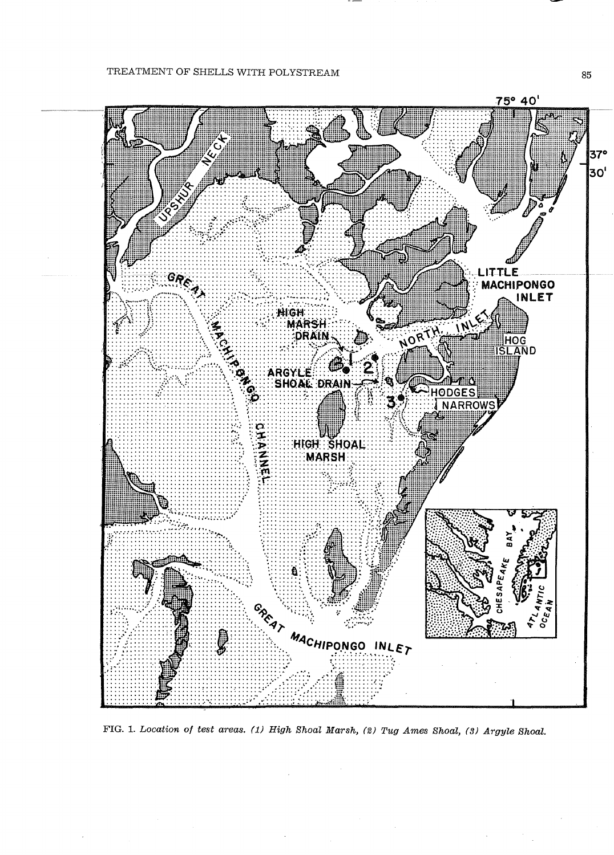# TREATMENT OF SHELLS WITH POLYSTREAM



FIG. 1. Location of test areas. (1) High Shoal Marsh, (2) Tug Ames Shoal, (3) Argyle Shoal.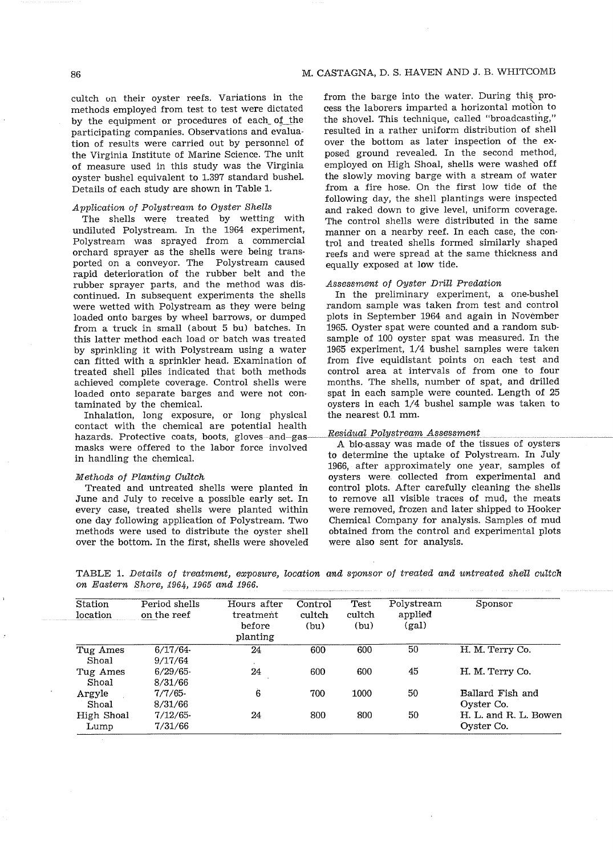## 86 M. CASTAGNA, D. S. HAVEN AND J. B. WHITCOMB

cultch on their oyster reefs. Variations in the methods employed from test to test were dictated by the equipment or procedures of each\_ of\_the participating companies. Observations and evaluation of results were carried out by personnel of the Virginia Institute of Marine Science. The unit of measure used in this study was the Virginia oyster bushel equivalent to 1.397 standard bushel. Details of each study are shown in Table 1.

### Application of Polystream to Oyster Shells

The shells were treated by wetting with undiluted Polystream. In the 1964 experiment, Polystream was sprayed from a commercial orchard sprayer as the shells were being transported on a conveyor. The Polystream caused rapid deterioration of the rubber belt and the rubber sprayer parts, and the method was dis-<br>Assessment of Oyster Drill Predation continued. In subsequent experiments the shells In the preliminary experiment, a one-bushel<br>were wetted with Polystream as they were being random sample was taken from test and control were wetted with Polystream as they were being loaded onto barges by wheel barrows, or dumped plots in September 1964 and again in November from a truck in small (about 5 bu) batches. In 1965. Oyster spat were counted and a random subthis latter method each load or batch was treated sample of 100 oyster spat was measured. In the by sprinkling it with Polystream using a water 1965 experiment, 1/4 bushel samples were taken can fitted with a sprinkler head. Examination of from five equidistant points on each test and treated shell piles indicated that both methods achieved complete coverage. Control shells were months. The shells, number of spat, and drilled loaded onto separate barges and were not con- spat in each sample were counted. Length of 25

Inhalation, long exposure, or long physical contact with the chemical are potential health hazards. Protective coats, boots, gloves and  $\frac{m}{2s}$  Residual Polystream Assessment<br>hazards. Protective coats, boots, gloves and  $\frac{m}{s}$  Residual Polystream Assessment masks were offered to the labor force involved in handling the chemical. to determine the uptake of Polystream. In July

#### Methods of Planting Gultch

Treated and untreated shells were planted in June and July to receive a possible early set. In every case, treated shells were planted within one day following application of Polystream. Two methods were used to distribute the oyster shell over the bottom. In the first, shells were shoveled from the barge into the water. During this process the laborers imparted a horizontal motion to the shovel. This technique, called "broadcasting," resulted in a rather uniform distribution of shell over the bottom as later inspection of the exposed ground revealed. In the second method, employed on High Shoal, shells were washed off the slowly moving barge with a stream of water from a fire hose. On the first low tide of the following day, the shell plantings were inspected and raked down to give level, uniform coverage. The control shells were distributed in the same manner on a nearby reef. In each case, the control and treated shells formed similarly shaped reefs and were spread at the same thickness and equally exposed at low tide.

taminated by the chemical.<br>
Inhalation. long exposure, or long physical the nearest 0.1 mm.

1966, after approximately one year, samples of oysters were collected from experimental and control plots. After carefully cleaning the· shells to remove all visible traces of mud, the meats were removed, frozen and later shipped to Hooker Chemical Company for analysis. Samples of mud obtained from the control and experimental plots were also sent for analysis.

| TABLE 1. Details of treatment, exposure, location and sponsor of treated and untreated shell cultch |  |  |  |  |  |  |  |
|-----------------------------------------------------------------------------------------------------|--|--|--|--|--|--|--|
| on Eastern Shore, 1964, 1965 and 1966.                                                              |  |  |  |  |  |  |  |

| Station<br>location | Period shells<br>on the reef | Hours after<br>treatment<br>before<br>planting | Control<br>cultch<br>(bu) | Test<br>cultch<br>(bu) | Polystream<br>applied<br>(gal) | Sponsor                             |
|---------------------|------------------------------|------------------------------------------------|---------------------------|------------------------|--------------------------------|-------------------------------------|
| Tug Ames<br>Shoal   | 6/17/64<br>9/17/64           | 24                                             | 600                       | 600                    | 50                             | H. M. Terry Co.                     |
| Tug Ames<br>Shoal   | 6/29/65<br>8/31/66           | 24                                             | 600                       | 600                    | 45                             | H. M. Terry Co.                     |
| Argyle<br>Shoal     | 7/7/65<br>8/31/66            | $\ddot{6}$                                     | 700                       | 1000                   | 50                             | Ballard Fish and<br>Oyster Co.      |
| High Shoal<br>Lump  | 7/12/65<br>7/31/66           | 24                                             | 800                       | 800                    | 50                             | H. L. and R. L. Bowen<br>Oyster Co. |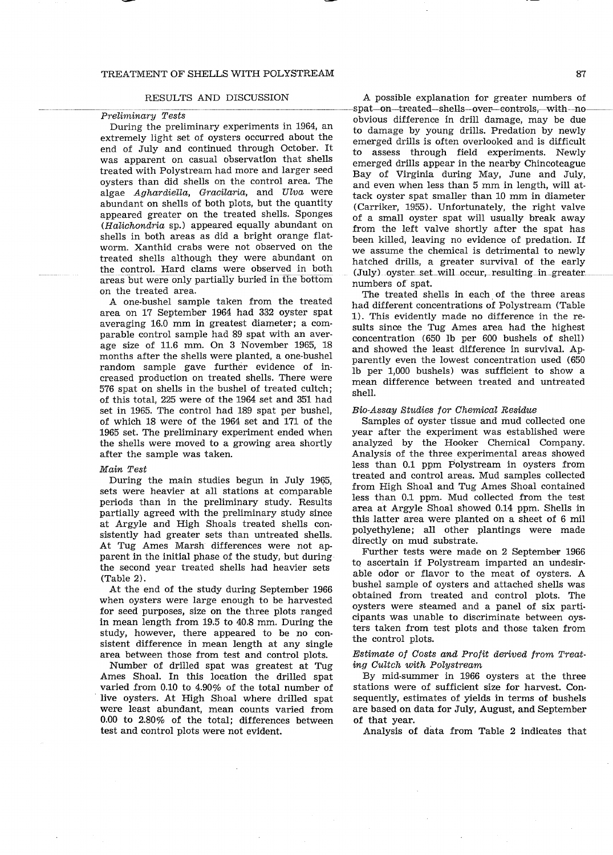#### TREATMENT OF SHELLS WITH POLYSTREAM 87

During the preliminary experiments in 1964, an extremely light set of oysters occurred about the end of July and continued through October. It was apparent on casual observation that shells treated with Polystream had more and larger seed oysters than did shells on the control area. The algae Aghardiella, Gracilaria, and Ulva were abundant on shells of both plots, but the quantity appeared greater on the treated shells. Sponges  $(Halichondria$  sp.) appeared equally abundant on shells in both areas as did a bright orange flatworm. Xanthid crabs were not observed on the treated shells although they were abundant on the control. Hard clams were observed in both areas but were only partially buried in fhe bottom on the treated area.

A one-bushel sample taken from the treated area on 17 September 1964 had 332 oyster spat averaging 16.0 mm in greatest diameter; a comparable control sample had 89 spat with an average size of 11.6 mm. On 3 November 1965, 18 months after the shells were planted, a one-bushel random sample gave further evidence of increased production on treated shells. There were 576 spat on shells in the bushel of treated cultch; of this total, 225 were of the 1964 set and 351 had set in 1965. The control had 189 spat per bushel, of which 18 were of the 1964 set and 171 of the 1965 set. The preliminary experiment ended when the shells were moved to a growing area shortly after the sample was taken.

#### Main Test

During the main studies begun in July 19G5, sets were heavier at all stations at comparable periods than in the preliminary study. Results partially agreed with the preliminary study since at Argyle and High Shoals treated shells consistently had greater sets than untreated shells. At Tug Ames Marsh differences were not apparent in the initial phase of the study, but during the second year treated shells had heavier sets (Table 2).

At the end of the study during September 1966 when oysters were large enough to be harvested for seed purposes, size on the three plots ranged in mean length from 19.5 to 40.8 mm. During the study, however, there appeared to be no consistent difference in mean length at any single area between those from test and control plots.

Number of drilled spat was greatest at Tug Ames Shoal. In this location the drilled spat varied from 0.10 to 4.90% of the total number of live oysters. At High Shoal where drilled spat were least abundant, mean counts varied from 0.00 to 2.80% of the total; differences between test and control plots were not evident.

RESULTS AND DISCUSSION A possible explanation for greater numbers of  $Preliminary \; Tests$ <br>abvious difference in drill damage may be due obvious difference in drill damage, may be due to damage by young drills. Predation by newly emerged drills is often overlooked and is difficult to assess through field experiments. Newly emerged drills appear in the nearby Chincoteague Bay of Virginia during May, June and July, and even when less than 5 mm in length, will attack oyster spat smaller than 10 mm in diameter (Carriker, 1955). Unfortunately, the right valve of a small oyster spat will usually break away from the left valve shortly after the spat has been killed, leaving no evidence of predation. If we assume the chemical is detrimental to newly hatched drills, a greater survival of the early (July) oyster\_set\_will\_occur,\_resulting\_in\_greater\_ numbers of spat.

> The treated shells in each of the three areas had different concentrations of Polystream (Table 1). This evidently made no difference in the results since the Tug Ames area had the highest concentration (650 lb per 600 bushels of shell) and showed the least difference in survival. Apparently even the lowest concentration used (650 lb per 1,000 bushels) was sufficient to show a mean difference between treated and untreated shell.

### Bio-Assay Studies for Chemical Residue

Samples of oyster tissue and mud collected one year after the experiment was established were analyzed by the Hooker Chemical Company. Analysis of the three experimental areas showed less than 0.1 ppm Polystream in oysters from treated and control areas. Mud samples collected from High Shoal and Tug Ames Shoal contained less than 0.1 ppm. Mud collected from the test area at Argyle Shoal showed 0.14 ppm. Shells in this latter area were planted on a sheet of 6 mil polyethylene; all other plantings were made directly on mud substrate.

Further tests were made on 2 September 1966 to ascertain if Polystream imparted an undesirable odor or flavor to the meat of oysters. A bushel sample of oysters and attached shells was obtained from treated and control plots. The oysters were steamed and a panel of six participants was unable to discriminate between oysters taken from test plots and those taken from the control plots.

### Estimate of Costs and Profit derived from Treating Cultch with Polystream

By mid-summer in 1966 oysters at the three stations were of sufficient size for harvest. Consequently, estimates of yields in terms of bushels are based on data for July, August, and September of that year.

Analysis of data from Table 2 indicates that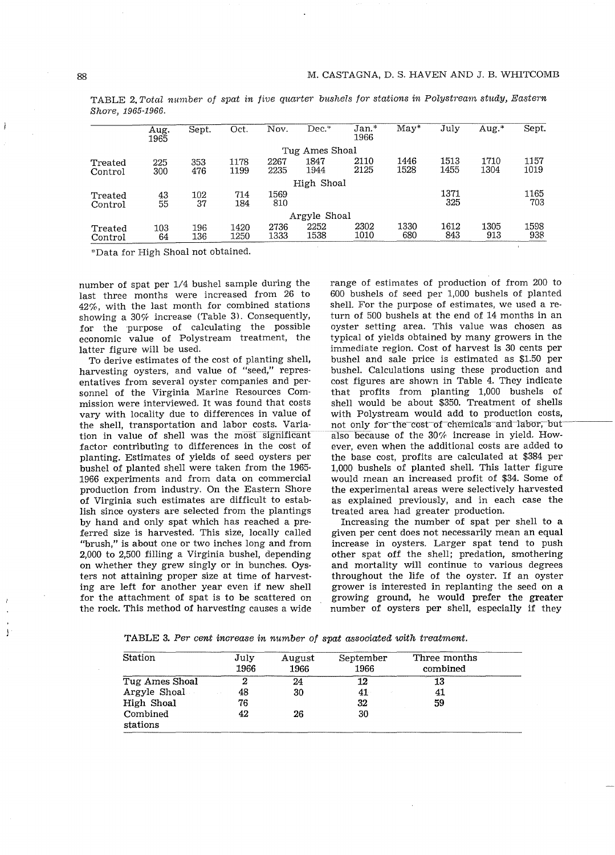|                    | Aug.<br>1965 | Sept.      | Oct.         | Nov.         | Dec.           | $Jan.*$<br>1966 | $M$ ay $^*$  | July         | Aug. <sup>*</sup> | Sept.        |
|--------------------|--------------|------------|--------------|--------------|----------------|-----------------|--------------|--------------|-------------------|--------------|
|                    |              |            |              |              | Tug Ames Shoal |                 |              |              |                   |              |
| Treated<br>Control | 225<br>300   | 353<br>476 | 1178<br>1199 | 2267<br>2235 | 1847<br>1944   | 2110<br>2125    | 1446<br>1528 | 1513<br>1455 | 1710<br>1304      | 1157<br>1019 |
|                    |              |            |              |              | High Shoal     |                 |              |              |                   |              |
| Treated<br>Control | 43<br>55     | 102<br>37  | 714<br>184   | 1569<br>810  |                |                 |              | 1371<br>325  |                   | 1165<br>703  |
|                    |              |            |              |              | Argyle Shoal   |                 |              |              |                   |              |
| Treated<br>Control | 103<br>64    | 196<br>136 | 1420<br>1250 | 2736<br>1333 | 2252<br>1538   | 2302<br>1010    | 1330<br>680  | 1612<br>843  | 1305<br>913       | 1598<br>938  |

TABLE 2. Total number of spat in five quarter bushels for stations in Polystream study, Eastern Shore, 1965-1966.

\*Data for High Shoal not obtained.

number of spat per 1/4 bushel sample during the last three months were increased from 26 to 42%, with the last month for combined stations showing a 30% increase (Table 3). Consequently, for the purpose of calculating the possible economic value of Polystream treatment, the latter figure will be used.

To derive estimates of the cost of planting shell, harvesting oysters, and value of "seed," representatives from several oyster companies and personnel of the Virginia Marine Resources Commission were interviewed. It was found that costs vary with locality due to differences in value of the shell, transportation and labor costs. Variation in value of shell was the most significant factor contributing to differences in the cost of planting. Estimates of yields of seed oysters per bushel of planted shell were taken from the 1965- 1966 experiments and from data on commercial production from industry. On the Eastern Shore of Virginia such estimates are difficult to establish since oysters are selected from the plantings by hand and only spat which has reached a preferred size is harvested. This size, locally called "brush," is about one or two inches long and from 2,000 to 2,500 filling a Virginia bushel, depending on whether they grew singly or in bunches. Oysters not attaining proper size at time of harvesting are left for another year even if new shell for the attachment of spat is to be scattered on the rock. This method of harvesting causes a wide

range of estimates of production of from 200 to 600 bushels of seed per 1,000 bushels of planted shell. For the purpose of estimates, we used a return of 500 bushels at the end of 14 months in an oyster setting area. This value was chosen as typical of yields obtained by many growers in the immediate region. Cost of harvest is 30 cents per bushel and sale price is estimated as \$1.50 per bushel. Calculations using these production and cost figures are shown in Table 4. They indicate that profits from planting 1,000 bushels of shell would be about \$350. Treatment of shells with Polystream would add to production costs, not only for the cost of chemicals and labor, but also because of the 30% increase in yield. However, even when the additional costs are added to the base cost, profits are calculated at \$384 per 1,000 bushels of planted shell. This latter figure would mean an increased profit of \$34. Some of the experimental areas were selectively harvested as explained previously, and in each case the treated area had greater production.

Increasing the number of spat per shell to a given per cent does not necessarily mean an equal increase in oysters. Larger spat tend to push other spat off the shell; predation, smothering and mortality will continue to various degrees throughout the life of the oyster. If an oyster grower is interested in replanting the seed on a growing ground, he would prefer the greater number of oysters per shell, especially if they

TABLE **3.** Per cent increase in number of spat associated with treatment.

| <b>Station</b>       | July<br>1966 | August<br>1966 | September<br>1966 | Three months<br>combined |
|----------------------|--------------|----------------|-------------------|--------------------------|
| Tug Ames Shoal       | 2            | 24             | 12                | 13                       |
| Argyle Shoal         | 48           | 30             | 41                | 41                       |
| High Shoal           | 76           |                | 32                | 59                       |
| Combined<br>stations | 42           | 26             | 30                |                          |

J.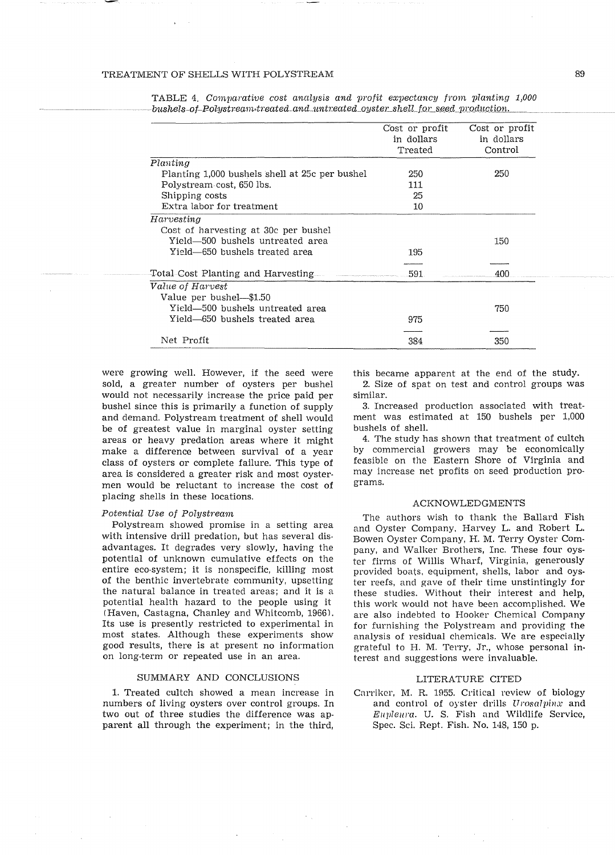|                                                | Cost or profit | Cost or profit |
|------------------------------------------------|----------------|----------------|
|                                                | in dollars     | in dollars     |
|                                                | Treated        | Control        |
| Planting                                       |                |                |
| Planting 1,000 bushels shell at 25c per bushel | 250            | 250            |
| Polystream cost, 650 lbs.                      | 111            |                |
| Shipping costs                                 | 25             |                |
| Extra labor for treatment                      | 10             |                |
| Harvesting                                     |                |                |
| Cost of harvesting at 30c per bushel           |                |                |
| Yield-500 bushels untreated area               |                | 150            |
| Yield—650 bushels treated area                 | 195            |                |
|                                                |                |                |
| Total–Cost Planting and Harvesting             | 591.           | 400            |
| Value of Harvest                               |                |                |
| Value per bushel—\$1.50                        |                |                |
| Yield-500 bushels untreated area               |                | 750            |
| Yield-650 bushels treated area                 | 975            |                |
| Net Profit                                     | 384            | 350            |
|                                                |                |                |

TABLE 4. Comvarative cost analysis and profit exvectancy from vlanting *1,000*   $-$ bushels-of-Polystream-treated and untreated oyster shell for seed production.

were growing well. However, if the seed were sold, a greater number of oysters per bushel would not necessarily increase the price paid per bushel since this is primarily a function of supply and demand. Polystream treatment of shell would be of greatest value in marginal oyster setting areas or heavy predation areas where it might make a difference between survival of a year class of oysters or complete failure. This type of area is considered a greater risk and most oystermen would be reluctant to increase the cost of placing shells in these locations.

#### Potential Use of Polystream

Polystream showed promise in a setting area with intensive drill predation, but has several disadvantages. It degrades very slowly, having the potential of unknown cumulative effects on the entire eco-system; it is nonspecific, killing most of the benthic invertebrate community, upsetting the natural balance in treated areas; and it is a potential health hazard to the people using it (Haven, Castagna, Chanley and Whitcomb, 1966). Its use is presently restricted to experimental in most states. Although these experiments show good results, there is at present no information on long-term or repeated use in an area.

#### SUMMARY AND CONCLUSIONS

1. Treated cultch showed a mean increase in numbers of living oysters over control groups. In two out of three studies the difference was apparent all through the experiment; in the third,

this became apparent at the end of the study. 2. Size of spat on test and control groups was similar.

3. Increased production associated with treatment was estimated at 150 bushels per 1,000 bushels of shell.

4. The study has shown that treatment of cultch by commercial growers may be economically feasible on the Eastern Shore of Virginia and may increase net profits on seed production programs.

#### ACKNOWLEDGMENTS

The authors wish to thank the Ballard Fish and Oyster Company, Harvey L. and Robert L. Bowen Oyster Company, H. M. Terry Oyster Company, and Walker Brothers, Inc. These four oyster firms of Willis Wharf, Virginia, generously provided boats, equipment, shells, labor and oyster reefs, and gave of their time unstintingly for these studies. Without their interest and help, this work would not have been accomplished. We are also indebted to Hooker Chemical Company for furnishing the Polystream and providing the analysis of residual chemicals. We are especially grateful to H. M. Terry, Jr., whose personal interest and suggestions were invaluable.

#### LITERATURE CITED

Carriker, M. R. 1955. Critical review of biology and control of oyster drills Urosalpinx and Eupleura. U. S. Fish and Wildlife Service, Spec. Sci. Rept. Fish. No. 148, 150 p.